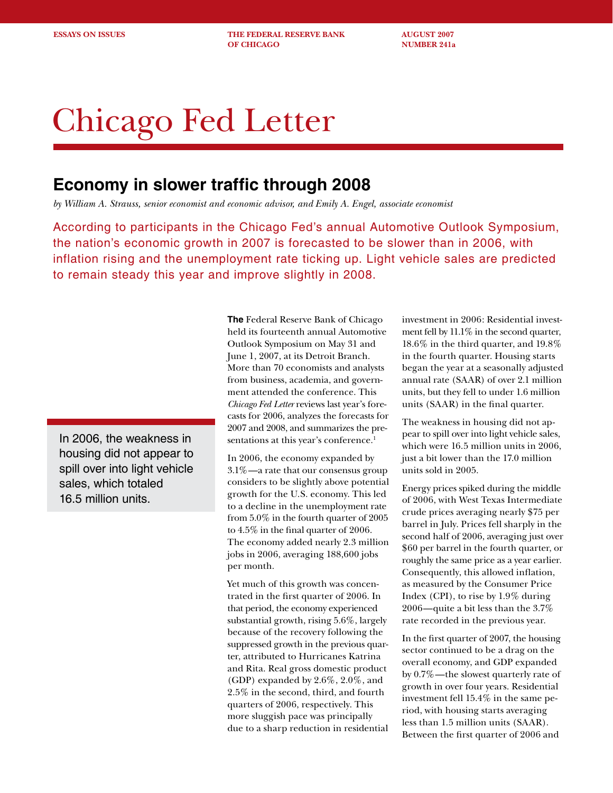**ESSAYS ON ISSUES THE FEDERAL RESERVE BANK AUGUST 2007 OF CHICAGO NUMBER 241a** 

# Chicago Fed Letter

# **Economy in slower traffic through 2008**

*by William A. Strauss, senior economist and economic advisor, and Emily A. Engel, associate economist*

According to participants in the Chicago Fed's annual Automotive Outlook Symposium, the nation's economic growth in 2007 is forecasted to be slower than in 2006, with inflation rising and the unemployment rate ticking up. Light vehicle sales are predicted to remain steady this year and improve slightly in 2008.

In 2006, the weakness in housing did not appear to spill over into light vehicle sales, which totaled 16.5 million units.

**The** Federal Reserve Bank of Chicago held its fourteenth annual Automotive Outlook Symposium on May 31 and June 1, 2007, at its Detroit Branch. More than 70 economists and analysts from business, academia, and government attended the conference. This *Chicago Fed Letter* reviews last year's forecasts for 2006, analyzes the forecasts for 2007 and 2008, and summarizes the presentations at this year's conference.<sup>1</sup>

In 2006, the economy expanded by 3.1%—a rate that our consensus group considers to be slightly above potential growth for the U.S. economy. This led to a decline in the unemployment rate from 5.0% in the fourth quarter of 2005 to 4.5% in the final quarter of 2006. The economy added nearly 2.3 million jobs in 2006, averaging 188,600 jobs per month.

Yet much of this growth was concentrated in the first quarter of 2006. In that period, the economy experienced substantial growth, rising 5.6%, largely because of the recovery following the suppressed growth in the previous quarter, attributed to Hurricanes Katrina and Rita. Real gross domestic product (GDP) expanded by 2.6%, 2.0%, and 2.5% in the second, third, and fourth quarters of 2006, respectively. This more sluggish pace was principally due to a sharp reduction in residential

investment in 2006: Residential investment fell by 11.1% in the second quarter, 18.6% in the third quarter, and 19.8% in the fourth quarter. Housing starts began the year at a seasonally adjusted annual rate (SAAR) of over 2.1 million units, but they fell to under 1.6 million units (SAAR) in the final quarter.

The weakness in housing did not appear to spill over into light vehicle sales, which were 16.5 million units in 2006, just a bit lower than the 17.0 million units sold in 2005.

Energy prices spiked during the middle of 2006, with West Texas Intermediate crude prices averaging nearly \$75 per barrel in July. Prices fell sharply in the second half of 2006, averaging just over \$60 per barrel in the fourth quarter, or roughly the same price as a year earlier. Consequently, this allowed inflation, as measured by the Consumer Price Index (CPI), to rise by 1.9% during 2006—quite a bit less than the 3.7% rate recorded in the previous year.

In the first quarter of 2007, the housing sector continued to be a drag on the overall economy, and GDP expanded by 0.7%—the slowest quarterly rate of growth in over four years. Residential investment fell 15.4% in the same period, with housing starts averaging less than 1.5 million units (SAAR). Between the first quarter of 2006 and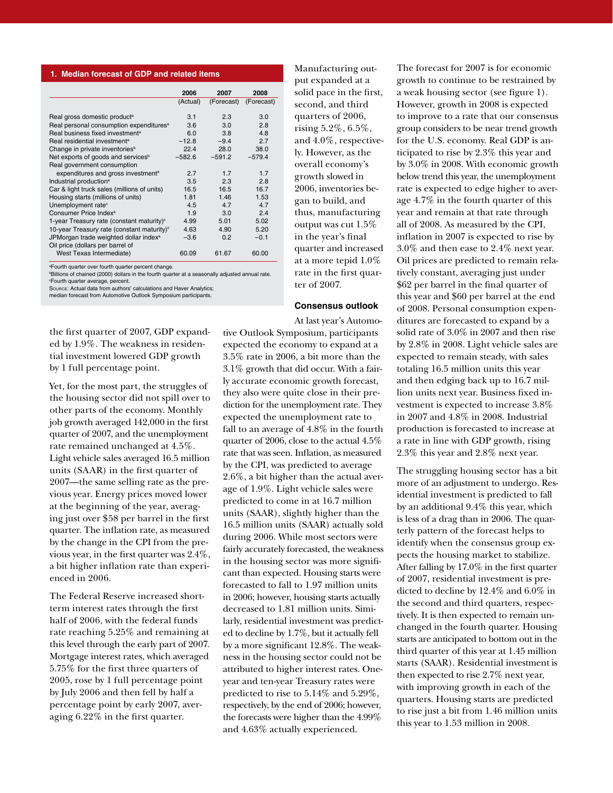#### **1. Median forecast of GDP and related items**

| 2006     | 2007       | 2008       |
|----------|------------|------------|
| (Actual) | (Forecast) | (Forecast) |
|          |            |            |
| 3.1      | 2.3        | 3.0        |
| 3.6      | 3.0        | 2.8        |
| 6.0      | 3.8        | 4.8        |
| $-12.8$  | $-9.4$     | 2.7        |
| 22.4     | 28.0       | 38.0       |
| $-582.6$ | $-591.2$   | $-579.4$   |
|          |            |            |
| 2.7      | 1.7        | 1.7        |
| 3.5      | 2.3        | 2.8        |
| 16.5     | 16.5       | 16.7       |
| 1.81     | 1.46       | 1.53       |
| 4.5      | 4.7        | 4.7        |
| 1.9      | 3.0        | 2.4        |
| 4.99     | 5.01       | 5.02       |
| 4.63     | 4.90       | 5.20       |
| $-3.6$   | 0.2        | $-0.1$     |
|          |            |            |
| 60.09    | 61.67      | 60.00      |
|          |            |            |

a Fourth quarter over fourth quarter percent change.

b Billions of chained (2000) dollars in the fourth quarter at a seasonally adjusted annual rate.

c Fourth quarter average, percent. Source: Actual data from authors' calculations and Haver Analytics;

median forecast from Automotive Outlook Symposium participants.

the first quarter of 2007, GDP expanded by 1.9%. The weakness in residential investment lowered GDP growth by 1 full percentage point.

Yet, for the most part, the struggles of the housing sector did not spill over to other parts of the economy. Monthly job growth averaged 142,000 in the first quarter of 2007, and the unemployment rate remained unchanged at 4.5%. Light vehicle sales averaged 16.5 million units (SAAR) in the first quarter of 2007—the same selling rate as the previous year. Energy prices moved lower at the beginning of the year, averaging just over \$58 per barrel in the first quarter. The inflation rate, as measured by the change in the CPI from the previous year, in the first quarter was 2.4%, a bit higher inflation rate than experienced in 2006.

The Federal Reserve increased shortterm interest rates through the first half of 2006, with the federal funds rate reaching 5.25% and remaining at this level through the early part of 2007. Mortgage interest rates, which averaged 5.75% for the first three quarters of 2005, rose by 1 full percentage point by July 2006 and then fell by half a percentage point by early 2007, averaging 6.22% in the first quarter.

put expanded at a solid pace in the first, second, and third quarters of 2006, rising 5.2%, 6.5%, and 4.0%, respectively. However, as the overall economy's growth slowed in 2006, inventories began to build, and thus, manufacturing output was cut 1.5% in the year's final quarter and increased at a more tepid 1.0% rate in the first quarter of 2007.

Manufacturing out-

#### **Consensus outlook**

At last year's Automotive Outlook Symposium, participants expected the economy to expand at a 3.5% rate in 2006, a bit more than the 3.1% growth that did occur. With a fairly accurate economic growth forecast, they also were quite close in their prediction for the unemployment rate. They expected the unemployment rate to fall to an average of 4.8% in the fourth quarter of 2006, close to the actual 4.5% rate that was seen. Inflation, as measured by the CPI, was predicted to average 2.6%, a bit higher than the actual average of 1.9%. Light vehicle sales were predicted to come in at 16.7 million units (SAAR), slightly higher than the 16.5 million units (SAAR) actually sold during 2006. While most sectors were fairly accurately forecasted, the weakness in the housing sector was more significant than expected. Housing starts were forecasted to fall to 1.97 million units in 2006; however, housing starts actually decreased to 1.81 million units. Similarly, residential investment was predicted to decline by 1.7%, but it actually fell by a more significant 12.8%. The weakness in the housing sector could not be attributed to higher interest rates. Oneyear and ten-year Treasury rates were predicted to rise to 5.14% and 5.29%, respectively, by the end of 2006; however, the forecasts were higher than the 4.99% and 4.63% actually experienced.

The forecast for 2007 is for economic growth to continue to be restrained by a weak housing sector (see figure 1). However, growth in 2008 is expected to improve to a rate that our consensus group considers to be near trend growth for the U.S. economy. Real GDP is anticipated to rise by 2.3% this year and by 3.0% in 2008. With economic growth below trend this year, the unemployment rate is expected to edge higher to average 4.7% in the fourth quarter of this year and remain at that rate through all of 2008. As measured by the CPI, inflation in 2007 is expected to rise by 3.0% and then ease to 2.4% next year. Oil prices are predicted to remain relatively constant, averaging just under \$62 per barrel in the final quarter of this year and \$60 per barrel at the end of 2008. Personal consumption expenditures are forecasted to expand by a solid rate of 3.0% in 2007 and then rise by 2.8% in 2008. Light vehicle sales are expected to remain steady, with sales totaling 16.5 million units this year and then edging back up to 16.7 million units next year. Business fixed investment is expected to increase 3.8% in 2007 and 4.8% in 2008. Industrial production is forecasted to increase at a rate in line with GDP growth, rising 2.3% this year and 2.8% next year.

The struggling housing sector has a bit more of an adjustment to undergo. Residential investment is predicted to fall by an additional 9.4% this year, which is less of a drag than in 2006. The quarterly pattern of the forecast helps to identify when the consensus group expects the housing market to stabilize. After falling by 17.0% in the first quarter of 2007, residential investment is predicted to decline by 12.4% and 6.0% in the second and third quarters, respectively. It is then expected to remain unchanged in the fourth quarter. Housing starts are anticipated to bottom out in the third quarter of this year at 1.45 million starts (SAAR). Residential investment is then expected to rise 2.7% next year, with improving growth in each of the quarters. Housing starts are predicted to rise just a bit from 1.46 million units this year to 1.53 million in 2008.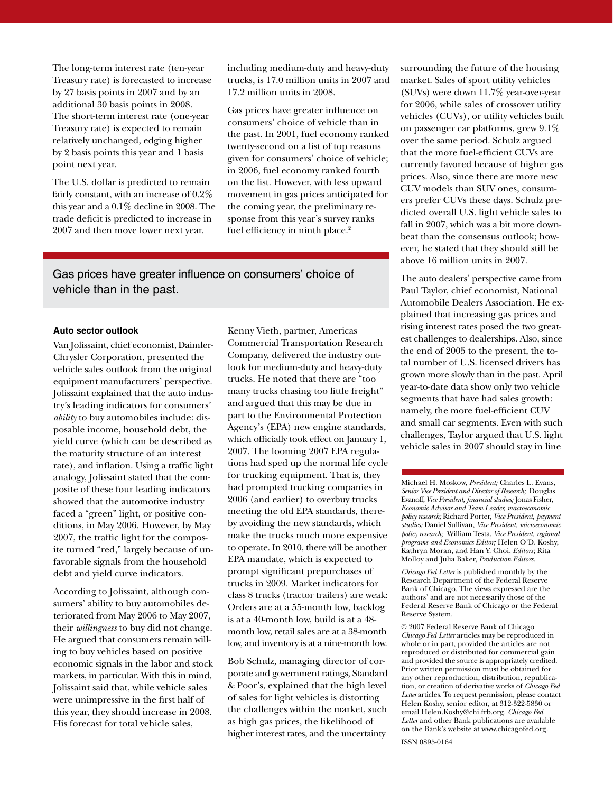The long-term interest rate (ten-year Treasury rate) is forecasted to increase by 27 basis points in 2007 and by an additional 30 basis points in 2008. The short-term interest rate (one-year Treasury rate) is expected to remain relatively unchanged, edging higher by 2 basis points this year and 1 basis point next year.

The U.S. dollar is predicted to remain fairly constant, with an increase of 0.2% this year and a 0.1% decline in 2008. The trade deficit is predicted to increase in 2007 and then move lower next year.

including medium-duty and heavy-duty trucks, is 17.0 million units in 2007 and 17.2 million units in 2008.

Gas prices have greater influence on consumers' choice of vehicle than in the past. In 2001, fuel economy ranked twenty-second on a list of top reasons given for consumers' choice of vehicle; in 2006, fuel economy ranked fourth on the list. However, with less upward movement in gas prices anticipated for the coming year, the preliminary response from this year's survey ranks fuel efficiency in ninth place.<sup>2</sup>

Gas prices have greater influence on consumers' choice of vehicle than in the past.

## **Auto sector outlook**

Van Jolissaint, chief economist, Daimler-Chrysler Corporation, presented the vehicle sales outlook from the original equipment manufacturers' perspective. Jolissaint explained that the auto industry's leading indicators for consumers' *ability* to buy automobiles include: disposable income, household debt, the yield curve (which can be described as the maturity structure of an interest rate), and inflation. Using a traffic light analogy, Jolissaint stated that the composite of these four leading indicators showed that the automotive industry faced a "green" light, or positive conditions, in May 2006. However, by May 2007, the traffic light for the composite turned "red," largely because of unfavorable signals from the household debt and yield curve indicators.

According to Jolissaint, although consumers' ability to buy automobiles deteriorated from May 2006 to May 2007, their *willingness* to buy did not change. He argued that consumers remain willing to buy vehicles based on positive economic signals in the labor and stock markets, in particular. With this in mind, Jolissaint said that, while vehicle sales were unimpressive in the first half of this year, they should increase in 2008. His forecast for total vehicle sales,

Kenny Vieth, partner, Americas Commercial Transportation Research Company, delivered the industry outlook for medium-duty and heavy-duty trucks. He noted that there are "too many trucks chasing too little freight" and argued that this may be due in part to the Environmental Protection Agency's (EPA) new engine standards, which officially took effect on January 1, 2007. The looming 2007 EPA regulations had sped up the normal life cycle for trucking equipment. That is, they had prompted trucking companies in 2006 (and earlier) to overbuy trucks meeting the old EPA standards, thereby avoiding the new standards, which make the trucks much more expensive to operate. In 2010, there will be another EPA mandate, which is expected to prompt significant prepurchases of trucks in 2009. Market indicators for class 8 trucks (tractor trailers) are weak: Orders are at a 55-month low, backlog is at a 40-month low, build is at a 48 month low, retail sales are at a 38-month low, and inventory is at a nine-month low.

Bob Schulz, managing director of corporate and government ratings, Standard & Poor's, explained that the high level of sales for light vehicles is distorting the challenges within the market, such as high gas prices, the likelihood of higher interest rates, and the uncertainty

surrounding the future of the housing market. Sales of sport utility vehicles (SUVs) were down 11.7% year-over-year for 2006, while sales of crossover utility vehicles (CUVs), or utility vehicles built on passenger car platforms, grew 9.1% over the same period. Schulz argued that the more fuel-efficient CUVs are currently favored because of higher gas prices. Also, since there are more new CUV models than SUV ones, consumers prefer CUVs these days. Schulz predicted overall U.S. light vehicle sales to fall in 2007, which was a bit more downbeat than the consensus outlook; however, he stated that they should still be above 16 million units in 2007.

The auto dealers' perspective came from Paul Taylor, chief economist, National Automobile Dealers Association. He explained that increasing gas prices and rising interest rates posed the two greatest challenges to dealerships. Also, since the end of 2005 to the present, the total number of U.S. licensed drivers has grown more slowly than in the past. April year-to-date data show only two vehicle segments that have had sales growth: namely, the more fuel-efficient CUV and small car segments. Even with such challenges, Taylor argued that U.S. light vehicle sales in 2007 should stay in line

Michael H. Moskow, *President;* Charles L. Evans, *Senior Vice President and Director of Research;* Douglas Evanoff, *Vice President, financial studies;* Jonas Fisher, *Economic Advisor and Team Leader, macroeconomic policy research;* Richard Porter, *Vice President, payment studies;* Daniel Sullivan*, Vice President, microeconomic policy research;* William Testa, *Vice President, regional programs and Economics Editor;* Helen O'D. Koshy, Kathryn Moran, and Han Y. Choi, *Editors*; Rita Molloy and Julia Baker, *Production Editors.*

*Chicago Fed Letter* is published monthly by the Research Department of the Federal Reserve Bank of Chicago. The views expressed are the authors' and are not necessarily those of the Federal Reserve Bank of Chicago or the Federal Reserve System.

© 2007 Federal Reserve Bank of Chicago *Chicago Fed Letter* articles may be reproduced in whole or in part, provided the articles are not reproduced or distributed for commercial gain and provided the source is appropriately credited. Prior written permission must be obtained for any other reproduction, distribution, republication, or creation of derivative works of *Chicago Fed Letter* articles. To request permission, please contact Helen Koshy, senior editor, at 312-322-5830 or email Helen.Koshy@chi.frb.org. *Chicago Fed Letter* and other Bank publications are available on the Bank's website at www.chicagofed.org.

ISSN 0895-0164